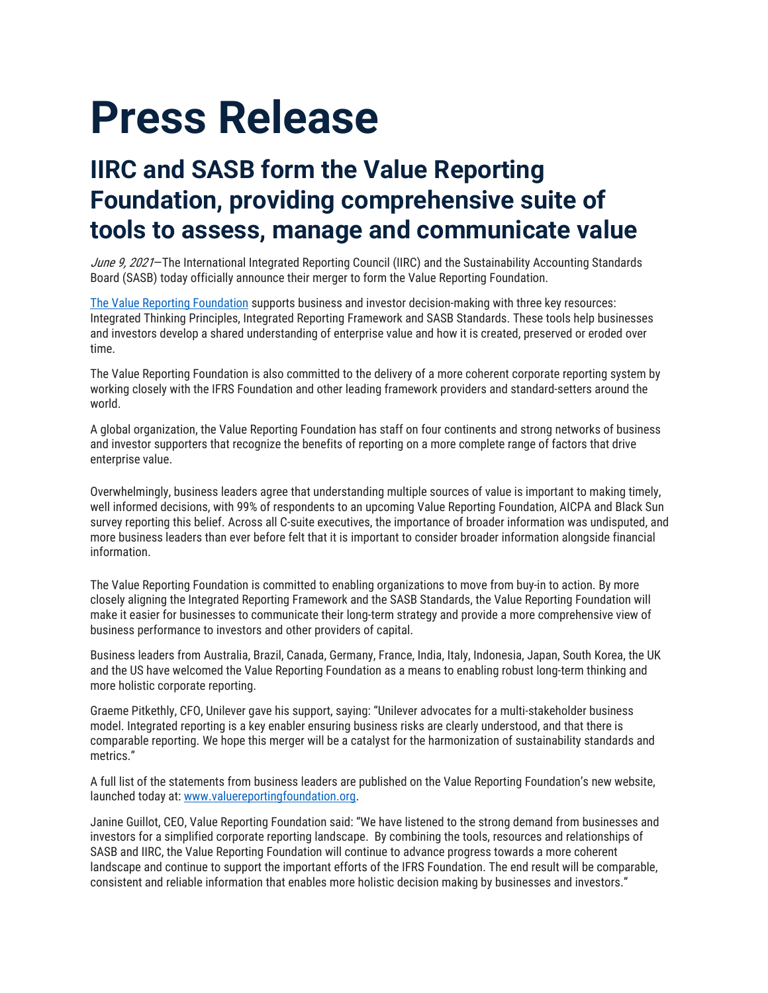## **Press Release**

## **IIRC and SASB form the Value Reporting Foundation, providing comprehensive suite of tools to assess, manage and communicate value**

June 9, 2021–The International Integrated Reporting Council (IIRC) and the Sustainability Accounting Standards Board (SASB) today officially announce their merger to form the Value Reporting Foundation.

[The Value Reporting Foundation](http://www.valuereportingfoundation.org/) supports business and investor decision-making with three key resources: Integrated Thinking Principles, Integrated Reporting Framework and SASB Standards. These tools help businesses and investors develop a shared understanding of enterprise value and how it is created, preserved or eroded over time.

The Value Reporting Foundation is also committed to the delivery of a more coherent corporate reporting system by working closely with the IFRS Foundation and other leading framework providers and standard-setters around the world.

A global organization, the Value Reporting Foundation has staff on four continents and strong networks of business and investor supporters that recognize the benefits of reporting on a more complete range of factors that drive enterprise value.

Overwhelmingly, business leaders agree that understanding multiple sources of value is important to making timely, well informed decisions, with 99% of respondents to an upcoming Value Reporting Foundation, AICPA and Black Sun survey reporting this belief. Across all C-suite executives, the importance of broader information was undisputed, and more business leaders than ever before felt that it is important to consider broader information alongside financial information.

The Value Reporting Foundation is committed to enabling organizations to move from buy-in to action. By more closely aligning the Integrated Reporting Framework and the SASB Standards, the Value Reporting Foundation will make it easier for businesses to communicate their long-term strategy and provide a more comprehensive view of business performance to investors and other providers of capital.

Business leaders from Australia, Brazil, Canada, Germany, France, India, Italy, Indonesia, Japan, South Korea, the UK and the US have welcomed the Value Reporting Foundation as a means to enabling robust long-term thinking and more holistic corporate reporting.

Graeme Pitkethly, CFO, Unilever gave his support, saying: "Unilever advocates for a multi-stakeholder business model. Integrated reporting is a key enabler ensuring business risks are clearly understood, and that there is comparable reporting. We hope this merger will be a catalyst for the harmonization of sustainability standards and metrics."

A full list of the statements from business leaders are published on the Value Reporting Foundation's new website, launched today at[: www.valuereportingfoundation.org.](http://www.valuereportingfoundation.org/)

Janine Guillot, CEO, Value Reporting Foundation said: "We have listened to the strong demand from businesses and investors for a simplified corporate reporting landscape. By combining the tools, resources and relationships of SASB and IIRC, the Value Reporting Foundation will continue to advance progress towards a more coherent landscape and continue to support the important efforts of the IFRS Foundation. The end result will be comparable, consistent and reliable information that enables more holistic decision making by businesses and investors."